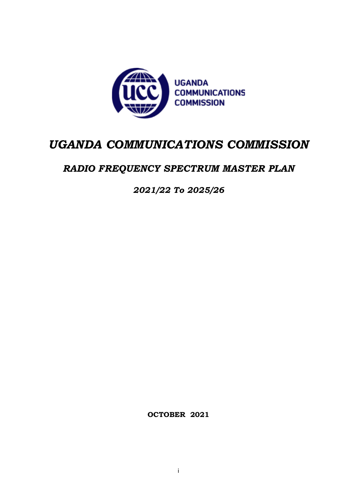

# *UGANDA COMMUNICATIONS COMMISSION*

# *RADIO FREQUENCY SPECTRUM MASTER PLAN*

*2021/22 To 2025/26*

**OCTOBER 2021**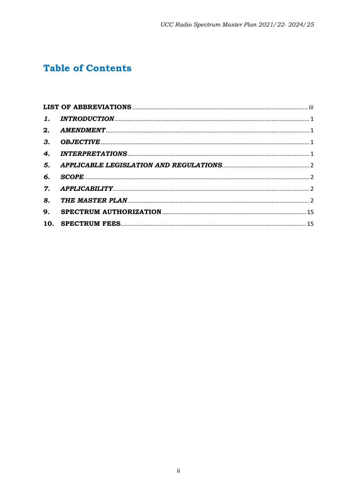# **Table of Contents**

| 3.             |  |
|----------------|--|
| 4.             |  |
| 5.             |  |
| б.             |  |
| $\mathbf{7}$ . |  |
| 8.             |  |
| 9.             |  |
|                |  |
|                |  |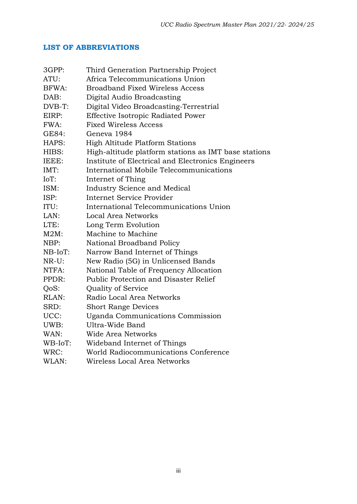# <span id="page-2-0"></span>**LIST OF ABBREVIATIONS**

| 3GPP:    | Third Generation Partnership Project                 |
|----------|------------------------------------------------------|
| ATU:     | Africa Telecommunications Union                      |
| BFWA:    | <b>Broadband Fixed Wireless Access</b>               |
| DAB:     | Digital Audio Broadcasting                           |
| DVB-T:   | Digital Video Broadcasting-Terrestrial               |
| EIRP:    | <b>Effective Isotropic Radiated Power</b>            |
| FWA:     | <b>Fixed Wireless Access</b>                         |
| GE84:    | Geneva 1984                                          |
| HAPS:    | High Altitude Platform Stations                      |
| HIBS:    | High-altitude platform stations as IMT base stations |
| IEEE:    | Institute of Electrical and Electronics Engineers    |
| IMT:     | International Mobile Telecommunications              |
| IoT:     | Internet of Thing                                    |
| ISM:     | <b>Industry Science and Medical</b>                  |
| ISP:     | <b>Internet Service Provider</b>                     |
| ITU:     | International Telecommunications Union               |
| LAN:     | Local Area Networks                                  |
| LTE:     | Long Term Evolution                                  |
| $M2M$ :  | Machine to Machine                                   |
| NBP:     | National Broadband Policy                            |
| NB-IoT:  | Narrow Band Internet of Things                       |
| $NR-U$ : | New Radio (5G) in Unlicensed Bands                   |
| NTFA:    | National Table of Frequency Allocation               |
| PPDR:    | Public Protection and Disaster Relief                |
| QoS:     | Quality of Service                                   |
| RLAN:    | Radio Local Area Networks                            |
| SRD:     | <b>Short Range Devices</b>                           |
| UCC:     | Uganda Communications Commission                     |
| UWB:     | Ultra-Wide Band                                      |
| WAN:     | Wide Area Networks                                   |
| WB-IoT:  | Wideband Internet of Things                          |
| WRC:     | World Radiocommunications Conference                 |
| WLAN:    | Wireless Local Area Networks                         |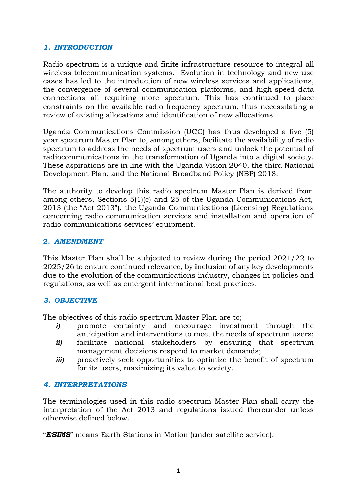#### <span id="page-3-0"></span>*1. INTRODUCTION*

Radio spectrum is a unique and finite infrastructure resource to integral all wireless telecommunication systems. Evolution in technology and new use cases has led to the introduction of new wireless services and applications, the convergence of several communication platforms, and high-speed data connections all requiring more spectrum. This has continued to place constraints on the available radio frequency spectrum, thus necessitating a review of existing allocations and identification of new allocations.

Uganda Communications Commission (UCC) has thus developed a five (5) year spectrum Master Plan to, among others, facilitate the availability of radio spectrum to address the needs of spectrum users and unlock the potential of radiocommunications in the transformation of Uganda into a digital society. These aspirations are in line with the Uganda Vision 2040, the third National Development Plan, and the National Broadband Policy (NBP) 2018.

The authority to develop this radio spectrum Master Plan is derived from among others, Sections 5(1)(c) and 25 of the Uganda Communications Act, 2013 (the "Act 2013"), the Uganda Communications (Licensing) Regulations concerning radio communication services and installation and operation of radio communications services' equipment.

#### <span id="page-3-1"></span>**2.** *AMENDMENT*

This Master Plan shall be subjected to review during the period 2021/22 to 2025/26 to ensure continued relevance, by inclusion of any key developments due to the evolution of the communications industry, changes in policies and regulations, as well as emergent international best practices.

#### <span id="page-3-2"></span>*3. OBJECTIVE*

The objectives of this radio spectrum Master Plan are to;

- *i)* promote certainty and encourage investment through the anticipation and interventions to meet the needs of spectrum users;
- *ii)* facilitate national stakeholders by ensuring that spectrum management decisions respond to market demands;
- *iii)* proactively seek opportunities to optimize the benefit of spectrum for its users, maximizing its value to society.

#### <span id="page-3-3"></span>*4. INTERPRETATIONS*

The terminologies used in this radio spectrum Master Plan shall carry the interpretation of the Act 2013 and regulations issued thereunder unless otherwise defined below.

"*ESIMS*" means Earth Stations in Motion (under satellite service);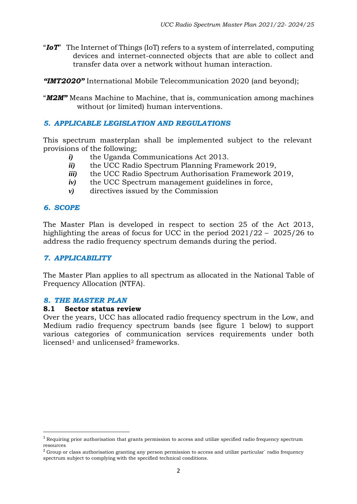- "*IoT*" The Internet of Things (IoT) refers to a system of interrelated, computing devices and internet-connected objects that are able to collect and transfer data over a network without human interaction.
- *"IMT2020"* International Mobile Telecommunication 2020 (and beyond);
- "*M2M"* Means Machine to Machine, that is, communication among machines without (or limited) human interventions.

#### <span id="page-4-0"></span>*5. APPLICABLE LEGISLATION AND REGULATIONS*

This spectrum masterplan shall be implemented subject to the relevant provisions of the following;

- *i)* the Uganda Communications Act 2013.
- *ii)* the UCC Radio Spectrum Planning Framework 2019,
- *iii)* the UCC Radio Spectrum Authorisation Framework 2019,
- *iv)* the UCC Spectrum management guidelines in force,
- *v)* directives issued by the Commission

#### <span id="page-4-1"></span>*6. SCOPE*

The Master Plan is developed in respect to section 25 of the Act 2013, highlighting the areas of focus for UCC in the period  $2021/22 - 2025/26$  to address the radio frequency spectrum demands during the period.

#### <span id="page-4-2"></span>*7. APPLICABILITY*

The Master Plan applies to all spectrum as allocated in the National Table of Frequency Allocation (NTFA).

#### <span id="page-4-3"></span>*8. THE MASTER PLAN*

#### **8.1 Sector status review**

Over the years, UCC has allocated radio frequency spectrum in the Low, and Medium radio frequency spectrum bands (see figure 1 below) to support various categories of communication services requirements under both licensed<sup>1</sup> and unlicensed<sup>2</sup> frameworks.

 $1$  Requiring prior authorisation that grants permission to access and utilize specified radio frequency spectrum resources

<sup>&</sup>lt;sup>2</sup> Group or class authorisation granting any person permission to access and utilize particular` radio frequency spectrum subject to complying with the specified technical conditions.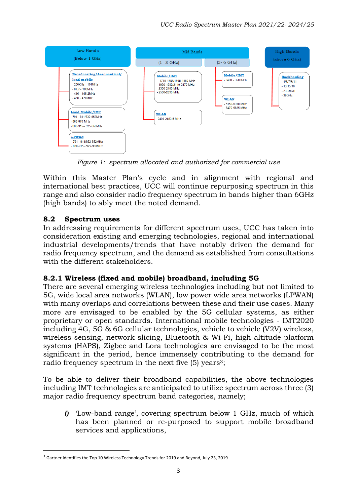

*Figure 1: spectrum allocated and authorized for commercial use*

Within this Master Plan's cycle and in alignment with regional and international best practices, UCC will continue repurposing spectrum in this range and also consider radio frequency spectrum in bands higher than 6GHz (high bands) to ably meet the noted demand.

# **8.2 Spectrum uses**

In addressing requirements for different spectrum uses, UCC has taken into consideration existing and emerging technologies, regional and international industrial developments/trends that have notably driven the demand for radio frequency spectrum, and the demand as established from consultations with the different stakeholders.

### **8.2.1 Wireless (fixed and mobile) broadband, including 5G**

There are several emerging wireless technologies including but not limited to 5G, wide local area networks (WLAN), low power wide area networks (LPWAN) with many overlaps and correlations between these and their use cases. Many more are envisaged to be enabled by the 5G cellular systems, as either proprietary or open standards. International mobile technologies - IMT2020 including 4G, 5G & 6G cellular technologies, vehicle to vehicle (V2V) wireless, wireless sensing, network slicing, Bluetooth & Wi-Fi, high altitude platform systems (HAPS), Zigbee and Lora technologies are envisaged to be the most significant in the period, hence immensely contributing to the demand for radio frequency spectrum in the next five  $(5)$  years<sup>3</sup>;

To be able to deliver their broadband capabilities, the above technologies including IMT technologies are anticipated to utilize spectrum across three (3) major radio frequency spectrum band categories, namely;

*i)* 'Low-band range', covering spectrum below 1 GHz, much of which has been planned or re-purposed to support mobile broadband services and applications,

<sup>3</sup> Gartner Identifies the Top 10 Wireless Technology Trends for 2019 and Beyond, July 23, 2019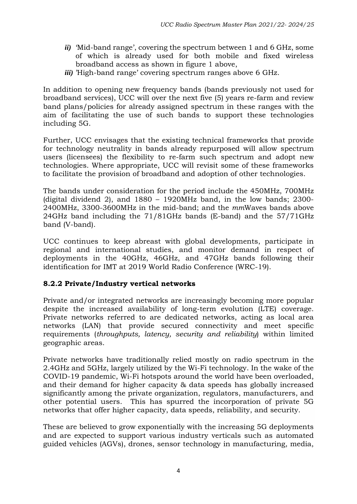- *ii)* 'Mid-band range', covering the spectrum between 1 and 6 GHz, some of which is already used for both mobile and fixed wireless broadband access as shown in figure 1 above,
- *iii)* 'High-band range' covering spectrum ranges above 6 GHz.

In addition to opening new frequency bands (bands previously not used for broadband services), UCC will over the next five (5) years re-farm and review band plans/policies for already assigned spectrum in these ranges with the aim of facilitating the use of such bands to support these technologies including 5G.

Further, UCC envisages that the existing technical frameworks that provide for technology neutrality in bands already repurposed will allow spectrum users (licensees) the flexibility to re-farm such spectrum and adopt new technologies. Where appropriate, UCC will revisit some of these frameworks to facilitate the provision of broadband and adoption of other technologies.

The bands under consideration for the period include the 450MHz, 700MHz (digital dividend 2), and 1880 – 1920MHz band, in the low bands; 2300- 2400MHz, 3300-3600MHz in the mid-band; and the *mm*Waves bands above 24GHz band including the 71/81GHz bands (E-band) and the 57/71GHz band (V-band).

UCC continues to keep abreast with global developments, participate in regional and international studies, and monitor demand in respect of deployments in the 40GHz, 46GHz, and 47GHz bands following their identification for IMT at 2019 World Radio Conference (WRC-19).

# **8.2.2 Private/Industry vertical networks**

Private and/or integrated networks are increasingly becoming more popular despite the increased availability of long-term evolution (LTE) coverage. Private networks referred to are dedicated networks, acting as local area networks (LAN) that provide secured connectivity and meet specific requirements (*throughputs, latency, security and reliability*) within limited geographic areas.

Private networks have traditionally relied mostly on radio spectrum in the 2.4GHz and 5GHz, largely utilized by the Wi-Fi technology. In the wake of the COVID-19 pandemic, Wi-Fi hotspots around the world have been overloaded, and their demand for higher capacity & data speeds has globally increased significantly among the private organization, regulators, manufacturers, and other potential users. This has spurred the incorporation of private 5G networks that offer higher capacity, data speeds, reliability, and security.

These are believed to grow exponentially with the increasing 5G deployments and are expected to support various industry verticals such as automated guided vehicles (AGVs), drones, sensor technology in manufacturing, media,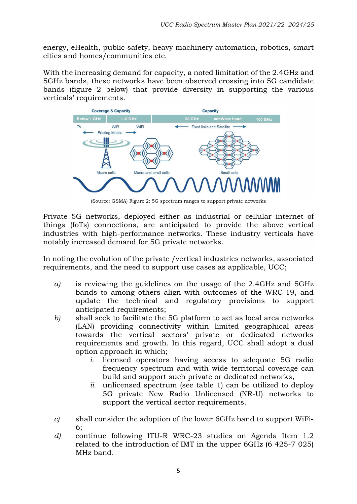energy, eHealth, public safety, heavy machinery automation, robotics, smart cities and homes/communities etc.

With the increasing demand for capacity, a noted limitation of the 2.4GHz and 5GHz bands, these networks have been observed crossing into 5G candidate bands (figure 2 below) that provide diversity in supporting the various verticals' requirements.



(Source: GSMA) Figure 2: 5G spectrum ranges to support private networks

Private 5G networks, deployed either as industrial or cellular internet of things (IoTs) connections, are anticipated to provide the above vertical industries with high-performance networks. These industry verticals have notably increased demand for 5G private networks.

In noting the evolution of the private /vertical industries networks, associated requirements, and the need to support use cases as applicable, UCC;

- *a)* is reviewing the guidelines on the usage of the 2.4GHz and 5GHz bands to among others align with outcomes of the WRC-19, and update the technical and regulatory provisions to support anticipated requirements;
- *b)* shall seek to facilitate the 5G platform to act as local area networks (LAN) providing connectivity within limited geographical areas towards the vertical sectors' private or dedicated networks requirements and growth. In this regard, UCC shall adopt a dual option approach in which;
	- *i.* licensed operators having access to adequate 5G radio frequency spectrum and with wide territorial coverage can build and support such private or dedicated networks,
	- *ii.* unlicensed spectrum (see table 1) can be utilized to deploy 5G private New Radio Unlicensed (NR-U) networks to support the vertical sector requirements.
- *c)* shall consider the adoption of the lower 6GHz band to support WiFi-6;
- *d)* continue following ITU-R WRC-23 studies on Agenda Item 1.2 related to the introduction of IMT in the upper 6GHz (6 425-7 025) MHz band.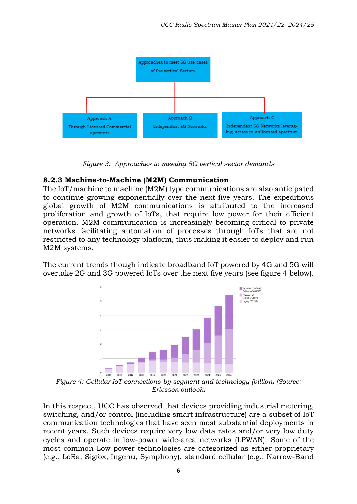

*Figure 3: Approaches to meeting 5G vertical sector demands*

### **8.2.3 Machine-to-Machine (M2M) Communication**

The IoT/machine to machine (M2M) type communications are also anticipated to continue growing exponentially over the next five years. The expeditious global growth of M2M communications is attributed to the increased proliferation and growth of IoTs, that require low power for their efficient operation. M2M communication is increasingly becoming critical to private networks facilitating automation of processes through IoTs that are not restricted to any technology platform, thus making it easier to deploy and run M2M systems.

The current trends though indicate broadband IoT powered by 4G and 5G will overtake 2G and 3G powered IoTs over the next five years (see figure 4 below).



*Figure 4: Cellular IoT connections by segment and technology (billion) (Source: Ericsson outlook)*

In this respect, UCC has observed that devices providing industrial metering, switching, and/or control (including smart infrastructure) are a subset of IoT communication technologies that have seen most substantial deployments in recent years. Such devices require very low data rates and/or very low duty cycles and operate in low-power wide-area networks (LPWAN). Some of the most common Low power technologies are categorized as either proprietary (e.g., LoRa, Sigfox, Ingenu, Symphony), standard cellular (e.g., Narrow-Band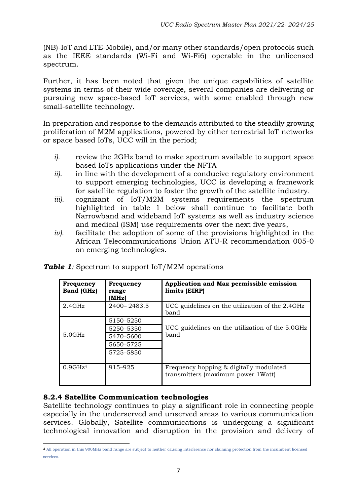(NB)-IoT and LTE-Mobile), and/or many other standards/open protocols such as the IEEE standards (Wi-Fi and Wi-Fi6) operable in the unlicensed spectrum.

Further, it has been noted that given the unique capabilities of satellite systems in terms of their wide coverage, several companies are delivering or pursuing new space-based IoT services, with some enabled through new small-satellite technology.

In preparation and response to the demands attributed to the steadily growing proliferation of M2M applications, powered by either terrestrial IoT networks or space based IoTs, UCC will in the period;

- *i).* review the 2GHz band to make spectrum available to support space based IoTs applications under the NFTA
- *ii).* in line with the development of a conducive regulatory environment to support emerging technologies, UCC is developing a framework for satellite regulation to foster the growth of the satellite industry.
- *iii).* cognizant of IoT/M2M systems requirements the spectrum highlighted in table 1 below shall continue to facilitate both Narrowband and wideband IoT systems as well as industry science and medical (ISM) use requirements over the next five years,
- *iv).* facilitate the adoption of some of the provisions highlighted in the African Telecommunications Union ATU-R recommendation 005-0 on emerging technologies.

| Frequency<br>Band (GHz) | Frequency<br>range<br>(MHz) | Application and Max permissible emission<br>limits (EIRP)                     |
|-------------------------|-----------------------------|-------------------------------------------------------------------------------|
| 2.4GHz                  | $2400 - 2483.5$             | UCC guidelines on the utilization of the 2.4GHz<br>band                       |
|                         | 5150-5250                   |                                                                               |
|                         | 5250-5350                   | UCC guidelines on the utilization of the 5.0GHz                               |
| 5.0GHz                  | 5470-5600                   | band                                                                          |
|                         | 5650-5725                   |                                                                               |
|                         | 5725-5850                   |                                                                               |
| 0.9GHz <sup>4</sup>     | 915-925                     | Frequency hopping & digitally modulated<br>transmitters (maximum power 1Watt) |

**Table 1**: Spectrum to support IoT/M2M operations

### **8.2.4 Satellite Communication technologies**

Satellite technology continues to play a significant role in connecting people especially in the underserved and unserved areas to various communication services. Globally, Satellite communications is undergoing a significant technological innovation and disruption in the provision and delivery of

<sup>4</sup> All operation in this 900MHz band range are subject to neither causing interference nor claiming protection from the incumbent licensed services.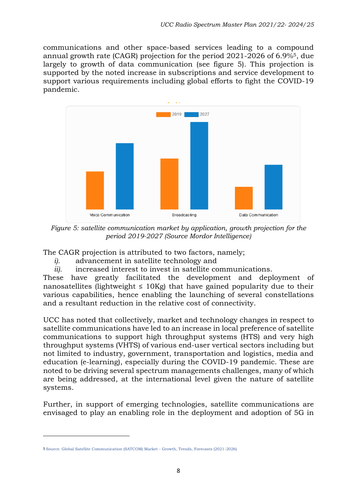communications and other space-based services leading to a compound annual growth rate (CAGR) projection for the period 2021-2026 of 6.9%5, due largely to growth of data communication (see figure 5). This projection is supported by the noted increase in subscriptions and service development to support various requirements including global efforts to fight the COVID-19 pandemic.



*Figure 5: satellite communication market by application, growth projection for the period 2019-2027 (Source Mordor Intelligence)*

The CAGR projection is attributed to two factors, namely;

- *i).* advancement in satellite technology and
- *ii).* increased interest to invest in satellite communications.

These have greatly facilitated the development and deployment of nanosatellites (lightweight  $\leq 10$ Kg) that have gained popularity due to their various capabilities, hence enabling the launching of several constellations and a resultant reduction in the relative cost of connectivity.

UCC has noted that collectively, market and technology changes in respect to satellite communications have led to an increase in local preference of satellite communications to support high throughput systems (HTS) and very high throughput systems (VHTS) of various end-user vertical sectors including but not limited to industry, government, transportation and logistics, media and education (e-learning), especially during the COVID-19 pandemic. These are noted to be driving several spectrum managements challenges, many of which are being addressed, at the international level given the nature of satellite systems.

Further, in support of emerging technologies, satellite communications are envisaged to play an enabling role in the deployment and adoption of 5G in

<sup>5</sup> Source: Global Satellite Communication (SATCOM) Market - Growth, Trends, Forecasts (2021-2026)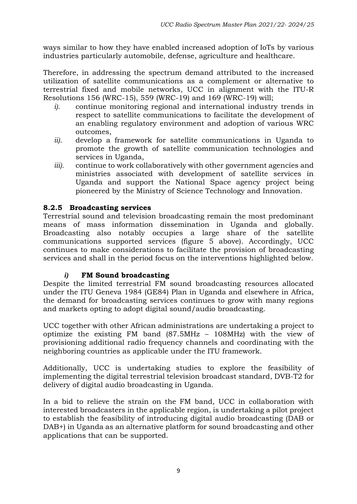ways similar to how they have enabled increased adoption of IoTs by various industries particularly automobile, defense, agriculture and healthcare.

Therefore, in addressing the spectrum demand attributed to the increased utilization of satellite communications as a complement or alternative to terrestrial fixed and mobile networks, UCC in alignment with the ITU-R Resolutions 156 (WRC-15), 559 (WRC-19) and 169 (WRC-19) will;

- *i).* continue monitoring regional and international industry trends in respect to satellite communications to facilitate the development of an enabling regulatory environment and adoption of various WRC outcomes,
- *ii).* develop a framework for satellite communications in Uganda to promote the growth of satellite communication technologies and services in Uganda,
- *iii).* continue to work collaboratively with other government agencies and ministries associated with development of satellite services in Uganda and support the National Space agency project being pioneered by the Ministry of Science Technology and Innovation.

### **8.2.5 Broadcasting services**

Terrestrial sound and television broadcasting remain the most predominant means of mass information dissemination in Uganda and globally. Broadcasting also notably occupies a large share of the satellite communications supported services (figure 5 above). Accordingly, UCC continues to make considerations to facilitate the provision of broadcasting services and shall in the period focus on the interventions highlighted below.

#### *i)* **FM Sound broadcasting**

Despite the limited terrestrial FM sound broadcasting resources allocated under the ITU Geneva 1984 (GE84) Plan in Uganda and elsewhere in Africa, the demand for broadcasting services continues to grow with many regions and markets opting to adopt digital sound/audio broadcasting.

UCC together with other African administrations are undertaking a project to optimize the existing FM band (87.5MHz – 108MHz) with the view of provisioning additional radio frequency channels and coordinating with the neighboring countries as applicable under the ITU framework.

Additionally, UCC is undertaking studies to explore the feasibility of implementing the digital terrestrial television broadcast standard, DVB-T2 for delivery of digital audio broadcasting in Uganda.

In a bid to relieve the strain on the FM band, UCC in collaboration with interested broadcasters in the applicable region, is undertaking a pilot project to establish the feasibility of introducing digital audio broadcasting (DAB or DAB+) in Uganda as an alternative platform for sound broadcasting and other applications that can be supported.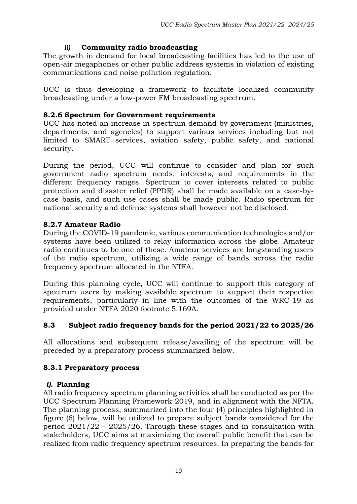# *ii)* **Community radio broadcasting**

The growth in demand for local broadcasting facilities has led to the use of open-air megaphones or other public address systems in violation of existing communications and noise pollution regulation.

UCC is thus developing a framework to facilitate localized community broadcasting under a low-power FM broadcasting spectrum.

## **8.2.6 Spectrum for Government requirements**

UCC has noted an increase in spectrum demand by government (ministries, departments, and agencies) to support various services including but not limited to SMART services, aviation safety, public safety, and national security.

During the period, UCC will continue to consider and plan for such government radio spectrum needs, interests, and requirements in the different frequency ranges. Spectrum to cover interests related to public protection and disaster relief (PPDR) shall be made available on a case-bycase basis, and such use cases shall be made public. Radio spectrum for national security and defense systems shall however not be disclosed.

## **8.2.7 Amateur Radio**

During the COVID-19 pandemic, various communication technologies and/or systems have been utilized to relay information across the globe. Amateur radio continues to be one of these. Amateur services are longstanding users of the radio spectrum, utilizing a wide range of bands across the radio frequency spectrum allocated in the NTFA.

During this planning cycle, UCC will continue to support this category of spectrum users by making available spectrum to support their respective requirements, particularly in line with the outcomes of the WRC-19 as provided under NTFA 2020 footnote 5.169A.

# **8.3 Subject radio frequency bands for the period 2021/22 to 2025/26**

All allocations and subsequent release/availing of the spectrum will be preceded by a preparatory process summarized below.

### **8.3.1 Preparatory process**

### *i).* **Planning**

All radio frequency spectrum planning activities shall be conducted as per the UCC Spectrum Planning Framework 2019, and in alignment with the NFTA. The planning process, summarized into the four (4) principles highlighted in figure (6) below, will be utilized to prepare subject bands considered for the period 2021/22 – 2025/26. Through these stages and in consultation with stakeholders, UCC aims at maximizing the overall public benefit that can be realized from radio frequency spectrum resources. In preparing the bands for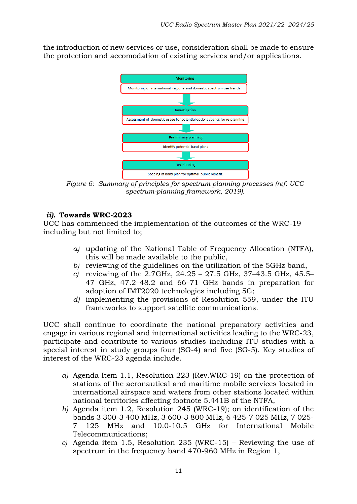the introduction of new services or use, consideration shall be made to ensure the protection and accomodation of existing services and/or applications.



*Figure 6: Summary of principles for spectrum planning processes (ref: UCC spectrum-planning framework, 2019).*

### *ii).* **Towards WRC-2023**

UCC has commenced the implementation of the outcomes of the WRC-19 including but not limited to;

- *a)* updating of the National Table of Frequency Allocation (NTFA), this will be made available to the public,
- *b)* reviewing of the guidelines on the utilization of the 5GHz band,
- *c)* reviewing of the 2.7GHz, 24.25 27.5 GHz, 37–43.5 GHz, 45.5– 47 GHz, 47.2–48.2 and 66–71 GHz bands in preparation for adoption of IMT2020 technologies including 5G;
- *d)* implementing the provisions of Resolution 559, under the ITU frameworks to support satellite communications.

UCC shall continue to coordinate the national preparatory activities and engage in various regional and international activities leading to the WRC-23, participate and contribute to various studies including ITU studies with a special interest in study groups four (SG-4) and five (SG-5). Key studies of interest of the WRC-23 agenda include.

- *a)* Agenda Item 1.1, Resolution 223 (Rev.WRC-19) on the protection of stations of the aeronautical and maritime mobile services located in international airspace and waters from other stations located within national territories affecting footnote 5.441B of the NTFA,
- *b)* Agenda item 1.2, Resolution 245 (WRC-19); on identification of the bands 3 300-3 400 MHz, 3 600-3 800 MHz, 6 425-7 025 MHz, 7 025- 7 125 MHz and 10.0-10.5 GHz for International Mobile Telecommunications;
- *c)* Agenda item 1.5, Resolution 235 (WRC-15) Reviewing the use of spectrum in the frequency band 470-960 MHz in Region 1,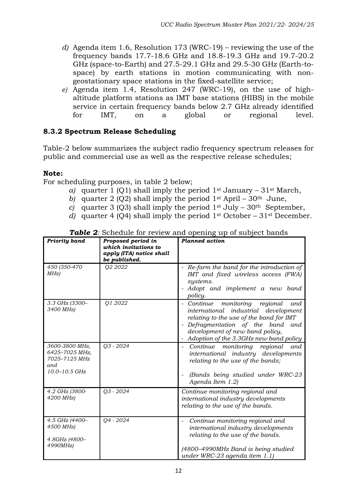- *d)* Agenda item 1.6, Resolution 173 (WRC-19) reviewing the use of the frequency bands 17.7-18.6 GHz and 18.8-19.3 GHz and 19.7-20.2 GHz (space-to-Earth) and 27.5-29.1 GHz and 29.5-30 GHz (Earth-tospace) by earth stations in motion communicating with nongeostationary space stations in the fixed-satellite service;
- *e)* Agenda item 1.4, Resolution 247 (WRC-19), on the use of highaltitude platform stations as IMT base stations (HIBS) in the mobile service in certain frequency bands below 2.7 GHz already identified for IMT, on a global or regional level.

### **8.3.2 Spectrum Release Scheduling**

Table-2 below summarizes the subject radio frequency spectrum releases for public and commercial use as well as the respective release schedules;

#### **Note:**

For scheduling purposes, in table 2 below;

- *a*) quarter 1 (Q1) shall imply the period  $1<sup>st</sup>$  January 31<sup>st</sup> March,
- *b*) quarter 2 (Q2) shall imply the period  $1<sup>st</sup>$  April 30<sup>th</sup> June,
- *c)* quarter 3 (Q3) shall imply the period  $1<sup>st</sup>$  July 30<sup>th</sup> September,
- *d)* quarter 4 (Q4) shall imply the period 1st October 31st December.

| <b>Table 2:</b> Schedule for review and opening up of subject bands |                    |                |
|---------------------------------------------------------------------|--------------------|----------------|
| ty band                                                             | Proposed period in | Planned action |

| <b>Priority band</b>                                                       | Proposed period in<br>which invitations to<br>apply (ITA) notice shall<br>be published. | <b>Planned action</b>                                                                                                                                                                                                                                   |
|----------------------------------------------------------------------------|-----------------------------------------------------------------------------------------|---------------------------------------------------------------------------------------------------------------------------------------------------------------------------------------------------------------------------------------------------------|
| 450 (350-470<br>MHz)                                                       | Q2 2022                                                                                 | - Re-farm the band for the introduction of<br>IMT and fixed wireless access (FWA)<br>systems.<br>Adopt and implement a new band<br>policy.                                                                                                              |
| 3.3 GHz (3300-<br>3400 MHz)                                                | Q1 2022                                                                                 | monitoring<br>regional<br>- Continue<br>and<br>international<br>industrial<br>development<br>relating to the use of the band for IMT<br>Defragmentation of the band<br>and<br>development of new band policy,<br>Adoption of the 3.3GHz new band policy |
| 3600-3800 MHz,<br>6425-7025 MHz,<br>7025-7125 MHz<br>and.<br>10.0-10.5 GHz | Q3 - 2024                                                                               | monitoring<br>Continue<br>regional<br>and<br>international industry developments<br>relating to the use of the bands;<br>(Bands being studied under WRC-23<br>Agenda Item 1.2)                                                                          |
| 4.2 GHz (3800-<br>4200 MHz)                                                | Q3 - 2024                                                                               | Continue monitoring regional and<br>international industry developments<br>relating to the use of the bands.                                                                                                                                            |
| 4.5 GHz (4400-<br>4500 MHz)<br>4.8GHz (4800-<br>4990MHz)                   | Q4 - 2024                                                                               | Continue monitoring regional and<br>international industry developments<br>relating to the use of the bands.<br>(4800–4990MHz Band is being studied<br>under WRC-23 agenda item 1.1)                                                                    |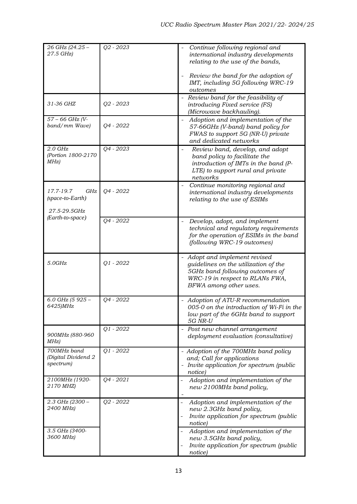| 26 GHz (24.25 -<br>27.5 GHz)                         | $Q2 - 2023$ | Continue following regional and<br>international industry developments<br>relating to the use of the bands,<br>Review the band for the adoption of                    |
|------------------------------------------------------|-------------|-----------------------------------------------------------------------------------------------------------------------------------------------------------------------|
|                                                      |             | IMT, including 5G following WRC-19<br>outcomes                                                                                                                        |
| 31-36 GHZ                                            | $Q2 - 2023$ | - Review band for the feasibility of<br>introducing Fixed service (FS)<br>(Microwave backhauling).                                                                    |
| 57 - 66 GHz (V-<br>band/mm Wave)                     | Q4 - 2022   | Adoption and implementation of the<br>57-66GHz (V-band) band policy for<br>FWAS to support 5G (NR-U) private<br>and dedicated networks                                |
| $2.0$ GHz<br>(Portion 1800-2170<br>MHz)              | Q4 - 2023   | Review band, develop, and adopt<br>band policy to facilitate the<br>introduction of IMTs in the band (P-<br>LTE) to support rural and private<br>networks             |
| GHz<br>17.7-19.7<br>(space-to-Earth)<br>27.5-29.5GHz | Q4 - 2022   | Continue monitoring regional and<br>international industry developments<br>relating to the use of ESIMs                                                               |
| (Earth-to-space)                                     | Q4 - 2022   | Develop, adopt, and implement<br>technical and regulatory requirements<br>for the operation of ESIMs in the band<br>(following WRC-19 outcomes)                       |
| 5.0GHz                                               | $Q1 - 2022$ | - Adopt and implement revised<br>guidelines on the utilization of the<br>5GHz band following outcomes of<br>WRC-19 in respect to RLANs FWA,<br>BFWA among other uses. |
| 6.0 GHz (5 $925 -$<br>6425)MHz                       | Q4 - 2022   | - Adoption of ATU-R recommendation<br>005-0 on the introduction of Wi-Fi in the<br>low part of the 6GHz band to support<br>5G NR-U                                    |
| 900MHz (880-960<br>MHz)                              | $Q1 - 2022$ | Post new channel arrangement<br>deployment evaluation (consultative)                                                                                                  |
| 700MHz band<br>(Digital Dividend 2<br>spectrum)      | $Q1 - 2022$ | - Adoption of the 700MHz band policy<br>and; Call for applications<br>Invite application for spectrum (public<br>notice)                                              |
| 2100MHz (1920-<br>2170 MHZ)                          | Q4 - 2021   | Adoption and implementation of the<br>new 2100MHz band policy,                                                                                                        |
| $2.3$ GHz (2300 -<br>2400 MHz)                       | Q2 - 2022   | Adoption and implementation of the<br>$\overline{\phantom{m}}$<br>new 2.3GHz band policy,<br>Invite application for spectrum (public<br>notice)                       |
| 3.5 GHz (3400-<br>3600 MHz)                          |             | Adoption and implementation of the<br>new 3.5GHz band policy,<br>Invite application for spectrum (public<br>notice)                                                   |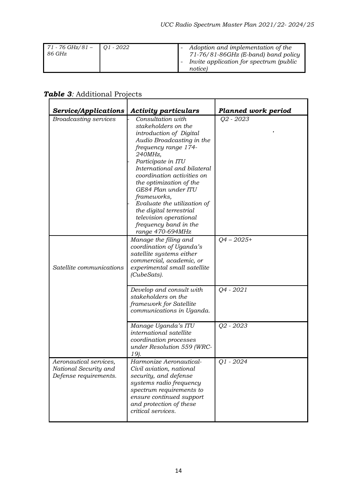| $71 - 76 \text{ GHz}/81 - 1$ Q1 - 2022<br>86 GHz | Adoption and implementation of the<br>$71-76/81-86$ GHz (E-band) band policy<br>Invite application for spectrum (public |
|--------------------------------------------------|-------------------------------------------------------------------------------------------------------------------------|
|                                                  | notice)                                                                                                                 |

| Service/Applications                                                     | <b>Activity particulars</b>                                                                                                                                                                                                                                                                                                                                                                                              | <b>Planned work period</b> |
|--------------------------------------------------------------------------|--------------------------------------------------------------------------------------------------------------------------------------------------------------------------------------------------------------------------------------------------------------------------------------------------------------------------------------------------------------------------------------------------------------------------|----------------------------|
| <b>Broadcasting services</b>                                             | Consultation with<br>stakeholders on the<br>introduction of Digital<br>Audio Broadcasting in the<br>frequency range 174-<br>240MHz,<br>Participate in ITU<br>International and bilateral<br>coordination activities on<br>the optimization of the<br>GE84 Plan under ITU<br>frameworks,<br>Evaluate the utilization of<br>the digital terrestrial<br>television operational<br>frequency band in the<br>range 470-694MHz | Q2 - 2023                  |
| Satellite communications                                                 | Manage the filing and<br>coordination of Uganda's<br>satellite systems either<br>commercial, academic, or<br>experimental small satellite<br>(CubeSats).                                                                                                                                                                                                                                                                 | $Q4 - 2025+$               |
|                                                                          | Develop and consult with<br>stakeholders on the<br>framework for Satellite<br>communications in Uganda.                                                                                                                                                                                                                                                                                                                  | Q4 - 2021                  |
|                                                                          | Manage Uganda's ITU<br>international satellite<br>coordination processes<br>under Resolution 559 (WRC-<br>19).                                                                                                                                                                                                                                                                                                           | Q2 - 2023                  |
| Aeronautical services,<br>National Security and<br>Defense requirements. | Harmonize Aeronautical-<br>Civil aviation, national<br>security, and defense<br>systems radio frequency<br>spectrum requirements to<br>ensure continued support<br>and protection of these<br>critical services.                                                                                                                                                                                                         | $Q1 - 2024$                |

# *Table 3:* Additional Projects